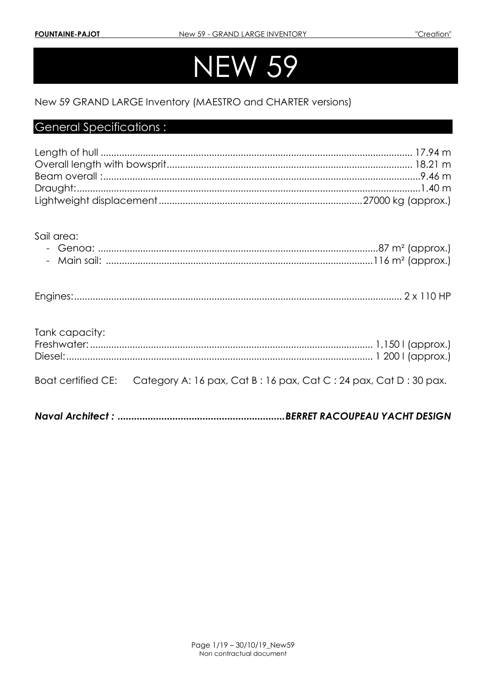# N W 59

## New 59 GRAND LARGE Inventory (MAESTRO and CHARTER versions)

## **General Specifications:**

Sail area:

| $\overline{\phantom{0}}$ |  |
|--------------------------|--|
|--------------------------|--|

## Tank capacity:

**Boat certified CE:** Category A: 16 pax, Cat B: 16 pax, Cat C: 24 pax, Cat D: 30 pax.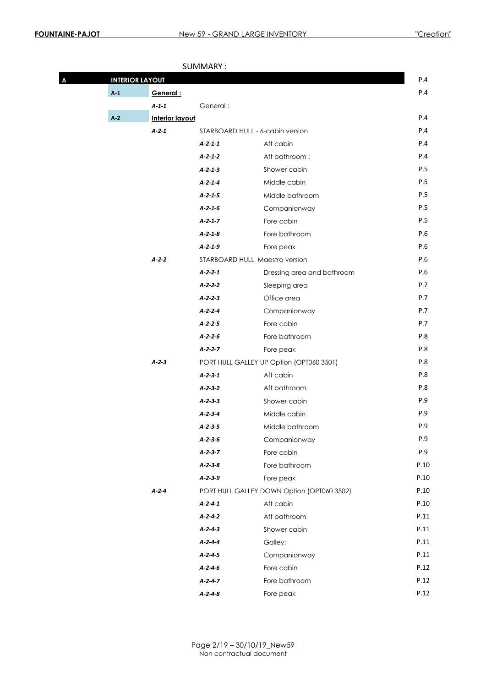| Α | <b>INTERIOR LAYOUT</b> |                        | JUIVIIVII II .  |                                            | P.4  |
|---|------------------------|------------------------|-----------------|--------------------------------------------|------|
|   | A <sub>1</sub>         | General:               |                 |                                            | P.4  |
|   |                        | $A - 1 - 1$            | General:        |                                            |      |
|   | A <sub>2</sub>         | <b>Interior layout</b> |                 |                                            | P.4  |
|   |                        | A <sub>2</sub> 1       |                 | STARBOARD HULL - 6-cabin version           | P.4  |
|   |                        |                        | $A - 2 - 1 - 1$ | Aft cabin                                  | P.4  |
|   |                        |                        | $A - 2 - 1 - 2$ | Aft bathroom:                              | P.4  |
|   |                        |                        | $A - 2 - 1 - 3$ | Shower cabin                               | P.5  |
|   |                        |                        | $A - 2 - 1 - 4$ | Middle cabin                               | P.5  |
|   |                        |                        | $A - 2 - 1 - 5$ | Middle bathroom                            | P.5  |
|   |                        |                        | $A - 2 - 1 - 6$ | Companionway                               | P.5  |
|   |                        |                        | $A - 2 - 1 - 7$ | Fore cabin                                 | P.5  |
|   |                        |                        | $A - 2 - 1 - 8$ | Fore bathroom                              | P.6  |
|   |                        |                        | $A - 2 - 1 - 9$ | Fore peak                                  | P.6  |
|   |                        | $A-2-2$                |                 | STARBOARD HULL Maestro version             | P.6  |
|   |                        |                        | $A - 2 - 2 - 1$ | Dressing area and bathroom                 | P.6  |
|   |                        |                        | $A - 2 - 2 - 2$ | Sleeping area                              | P.7  |
|   |                        |                        | $A - 2 - 2 - 3$ | Office area                                | P.7  |
|   |                        |                        | $A - 2 - 2 - 4$ | Companionway                               | P.7  |
|   |                        |                        | $A - 2 - 2 - 5$ | Fore cabin                                 | P.7  |
|   |                        |                        | $A - 2 - 2 - 6$ | Fore bathroom                              | P.8  |
|   |                        |                        | $A - 2 - 2 - 7$ | Fore peak                                  | P.8  |
|   |                        | $A-2-3$                |                 | PORT HULL GALLEY UP Option (OPT060 3501)   | P.8  |
|   |                        |                        | $A - 2 - 3 - 1$ | Aft cabin                                  | P.8  |
|   |                        |                        | $A - 2 - 3 - 2$ | Aft bathroom                               | P.8  |
|   |                        |                        | $A - 2 - 3 - 3$ | Shower cabin                               | P.9  |
|   |                        |                        | $A - 2 - 3 - 4$ | Middle cabin                               | P.9  |
|   |                        |                        | $A - 2 - 3 - 5$ | Middle bathroom                            | P.9  |
|   |                        |                        | $A - 2 - 3 - 6$ | Companionway                               | P.9  |
|   |                        |                        | $A - 2 - 3 - 7$ | Fore cabin                                 | P.9  |
|   |                        |                        | $A - 2 - 3 - 8$ | Fore bathroom                              | P.10 |
|   |                        |                        | $A - 2 - 3 - 9$ | Fore peak                                  | P.10 |
|   |                        | $A - 2 - 4$            |                 | PORT HULL GALLEY DOWN Option (OPT060 3502) | P.10 |
|   |                        |                        | $A - 2 - 4 - 1$ | Aft cabin                                  | P.10 |
|   |                        |                        | $A - 2 - 4 - 2$ | Aft bathroom                               | P.11 |
|   |                        |                        | $A - 2 - 4 - 3$ | Shower cabin                               | P.11 |
|   |                        |                        | $A - 2 - 4 - 4$ | Galley:                                    | P.11 |
|   |                        |                        | $A - 2 - 4 - 5$ | Companionway                               | P.11 |
|   |                        |                        | $A - 2 - 4 - 6$ | Fore cabin                                 | P.12 |
|   |                        |                        | $A-2-4-7$       | Fore bathroom                              | P.12 |
|   |                        |                        | $A - 2 - 4 - 8$ | Fore peak                                  | P.12 |

SUMMARY :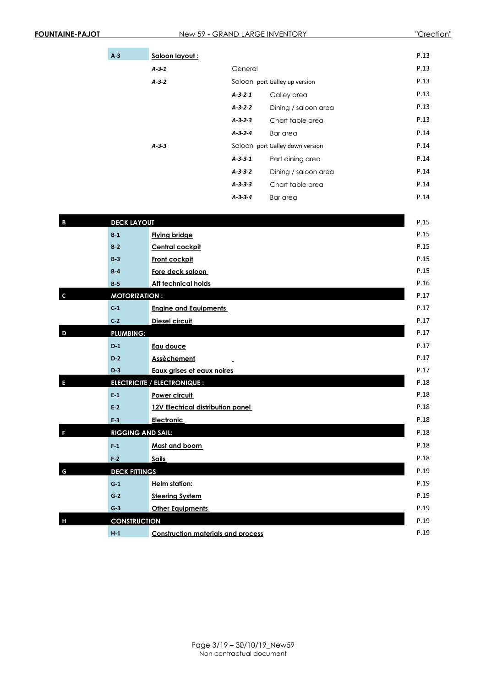| A <sub>3</sub> | Saloon layout: |                 |                                 | P.13 |
|----------------|----------------|-----------------|---------------------------------|------|
|                | $A-3-1$        | General         |                                 | P.13 |
|                | $A-3-2$        |                 | Saloon port Galley up version   | P.13 |
|                |                | $A - 3 - 2 - 1$ | Galley area                     | P.13 |
|                |                | $A - 3 - 2 - 2$ | Dining / saloon area            | P.13 |
|                |                | $A - 3 - 2 - 3$ | Chart table area                | P.13 |
|                |                | $A - 3 - 2 - 4$ | Bar area                        | P.14 |
|                | $A-3-3$        |                 | Saloon port Galley down version | P.14 |
|                |                | $A - 3 - 3 - 1$ | Port dining area                | P.14 |
|                |                | $A - 3 - 3 - 2$ | Dining / saloon area            | P.14 |
|                |                | $A - 3 - 3 - 3$ | Chart table area                | P.14 |
|                |                | $A - 3 - 3 - 4$ | Bar area                        | P.14 |

| B | <b>DECK LAYOUT</b>       |                                           | P.15 |
|---|--------------------------|-------------------------------------------|------|
|   | $B-1$                    | <b>Flying bridge</b>                      | P.15 |
|   | B <sub>2</sub>           | <b>Central cockpit</b>                    | P.15 |
|   | $B-3$                    | Front cockpit                             | P.15 |
|   | $B-4$                    | Fore deck saloon                          | P.15 |
|   | <b>B</b> 5               | <b>Aft technical holds</b>                | P.16 |
|   | <b>MOTORIZATION:</b>     |                                           | P.17 |
|   | C <sub>1</sub>           | <b>Engine and Equipments</b>              | P.17 |
|   | C <sub>2</sub>           | Diesel circuit                            | P.17 |
| D | <b>PLUMBING:</b>         |                                           | P.17 |
|   | D <sub>1</sub>           | Eau douce                                 | P.17 |
|   | $D-2$                    | Assèchement                               | P.17 |
|   | $D-3$                    | Eaux grises et eaux noires                | P.17 |
|   |                          | <b>ELECTRICITE / ELECTRONIQUE :</b>       | P.18 |
|   | $E-1$                    | Power circuit                             | P.18 |
|   | E <sub>2</sub>           | 12V Electrical distribution panel         | P.18 |
|   | E 3                      | Electronic                                | P.18 |
|   | <b>RIGGING AND SAIL:</b> |                                           | P.18 |
|   | F <sub>1</sub>           | Mast and boom                             | P.18 |
|   | F <sub>2</sub>           | <b>Sails</b>                              | P.18 |
| G | <b>DECK FITTINGS</b>     |                                           | P.19 |
|   | G <sub>1</sub>           | <b>Helm station:</b>                      | P.19 |
|   | $G-2$                    | <b>Steering System</b>                    | P.19 |
|   | $G-3$                    | <b>Other Equipments</b>                   | P.19 |
| Н | <b>CONSTRUCTION</b>      |                                           | P.19 |
|   | H <sub>1</sub>           | <b>Construction materials and process</b> | P.19 |
|   |                          |                                           |      |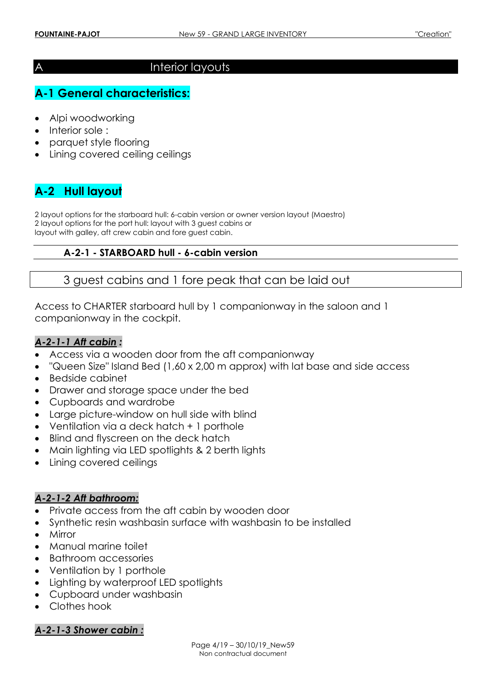## A Interior layouts

# **A-1 General characteristics:**

- Alpi woodworking
- Interior sole :
- parquet style flooring
- Lining covered ceiling ceilings

## **A-2 Hull layout**

2 layout options for the starboard hull: 6-cabin version or owner version layout (Maestro) 2 layout options for the port hull: layout with 3 guest cabins or layout with galley, aft crew cabin and fore guest cabin.

## **A-2-1 - STARBOARD hull - 6-cabin version**

## 3 guest cabins and 1 fore peak that can be laid out

Access to CHARTER starboard hull by 1 companionway in the saloon and 1 companionway in the cockpit.

#### *A-2-1-1 Aft cabin :*

- Access via a wooden door from the aft companionway
- "Queen Size" Island Bed (1,60 x 2,00 m approx) with lat base and side access
- Bedside cabinet
- Drawer and storage space under the bed
- Cupboards and wardrobe
- Large picture-window on hull side with blind
- Ventilation via a deck hatch + 1 porthole
- Blind and flyscreen on the deck hatch
- Main lighting via LED spotlights & 2 berth lights
- Lining covered ceilings

#### *A-2-1-2 Aft bathroom:*

- Private access from the aft cabin by wooden door
- Synthetic resin washbasin surface with washbasin to be installed
- Mirror
- Manual marine toilet
- Bathroom accessories
- Ventilation by 1 porthole
- Lighting by waterproof LED spotlights
- Cupboard under washbasin
- Clothes hook

#### *A-2-1-3 Shower cabin :*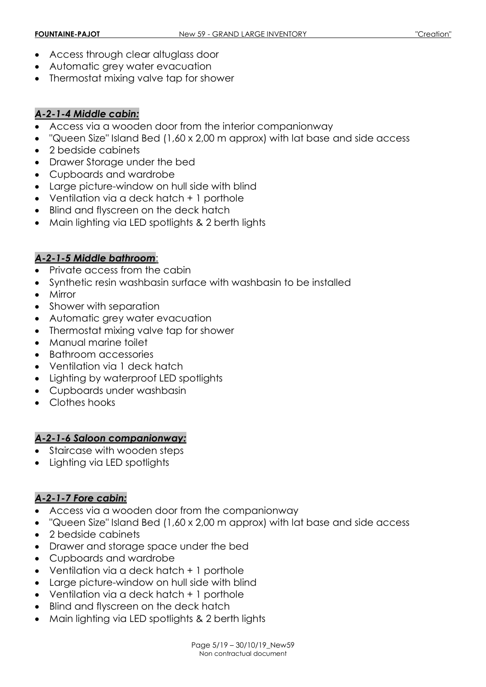- Access through clear altuglass door
- Automatic grey water evacuation
- Thermostat mixing valve tap for shower

## *A-2-1-4 Middle cabin:*

- Access via a wooden door from the interior companionway
- "Queen Size" Island Bed (1,60 x 2,00 m approx) with lat base and side access
- 2 bedside cabinets
- Drawer Storage under the bed
- Cupboards and wardrobe
- Large picture-window on hull side with blind
- Ventilation via a deck hatch + 1 porthole
- Blind and flyscreen on the deck hatch
- Main lighting via LED spotlights & 2 berth lights

## *A-2-1-5 Middle bathroom*:

- Private access from the cabin
- Synthetic resin washbasin surface with washbasin to be installed
- Mirror
- Shower with separation
- Automatic grey water evacuation
- Thermostat mixing valve tap for shower
- Manual marine toilet
- Bathroom accessories
- Ventilation via 1 deck hatch
- Lighting by waterproof LED spotlights
- Cupboards under washbasin
- Clothes hooks

## *A-2-1-6 Saloon companionway:*

- Staircase with wooden steps
- Lighting via LED spotlights

## *A-2-1-7 Fore cabin:*

- Access via a wooden door from the companionway
- "Queen Size" Island Bed (1,60 x 2,00 m approx) with lat base and side access
- 2 bedside cabinets
- Drawer and storage space under the bed
- Cupboards and wardrobe
- Ventilation via a deck hatch + 1 porthole
- Large picture-window on hull side with blind
- Ventilation via a deck hatch + 1 porthole
- Blind and flyscreen on the deck hatch
- Main lighting via LED spotlights & 2 berth lights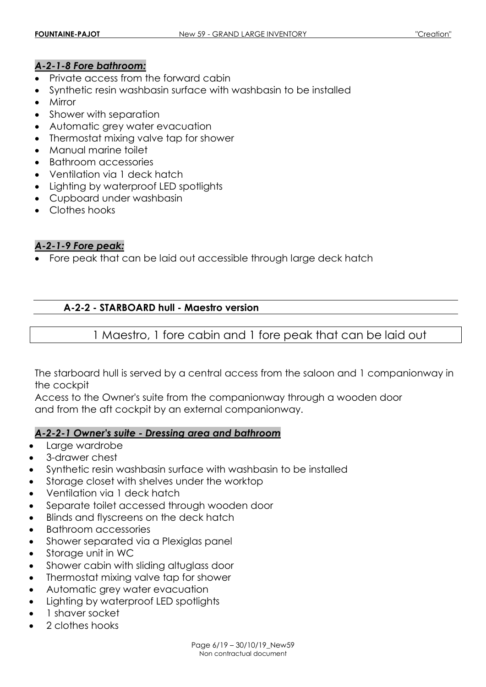### *A-2-1-8 Fore bathroom:*

- Private access from the forward cabin
- Synthetic resin washbasin surface with washbasin to be installed
- Mirror
- Shower with separation
- Automatic grey water evacuation
- Thermostat mixing valve tap for shower
- Manual marine toilet
- Bathroom accessories
- Ventilation via 1 deck hatch
- Lighting by waterproof LED spotlights
- Cupboard under washbasin
- Clothes hooks

## *A-2-1-9 Fore peak:*

Fore peak that can be laid out accessible through large deck hatch

### **A-2-2 - STARBOARD hull - Maestro version**

1 Maestro, 1 fore cabin and 1 fore peak that can be laid out

The starboard hull is served by a central access from the saloon and 1 companionway in the cockpit

Access to the Owner's suite from the companionway through a wooden door and from the aft cockpit by an external companionway.

#### *A-2-2-1 Owner's suite - Dressing area and bathroom*

- Large wardrobe
- 3-drawer chest
- Synthetic resin washbasin surface with washbasin to be installed
- Storage closet with shelves under the worktop
- Ventilation via 1 deck hatch
- Separate toilet accessed through wooden door
- Blinds and flyscreens on the deck hatch
- Bathroom accessories
- Shower separated via a Plexiglas panel
- Storage unit in WC
- Shower cabin with sliding altuglass door
- Thermostat mixing valve tap for shower
- Automatic grey water evacuation
- Lighting by waterproof LED spotlights
- 1 shaver socket
- 2 clothes hooks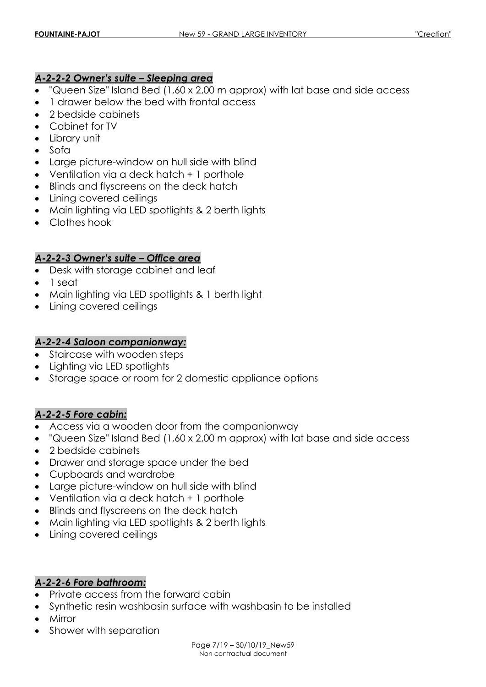## *A-2-2-2 Owner's suite – Sleeping area*

- "Queen Size" Island Bed (1,60 x 2,00 m approx) with lat base and side access
- 1 drawer below the bed with frontal access
- 2 bedside cabinets
- Cabinet for TV
- Library unit
- $\bullet$  Sofa
- Large picture-window on hull side with blind
- Ventilation via a deck hatch + 1 porthole
- Blinds and flyscreens on the deck hatch
- Lining covered ceilings
- Main lighting via LED spotlights & 2 berth lights
- Clothes hook

## *A-2-2-3 Owner's suite – Office area*

- Desk with storage cabinet and leaf
- 1 seat
- Main lighting via LED spotlights & 1 berth light
- Lining covered ceilings

## *A-2-2-4 Saloon companionway:*

- Staircase with wooden steps
- Lighting via LED spotlights
- Storage space or room for 2 domestic appliance options

## *A-2-2-5 Fore cabin:*

- Access via a wooden door from the companionway
- "Queen Size" Island Bed (1,60 x 2,00 m approx) with lat base and side access
- 2 bedside cabinets
- Drawer and storage space under the bed
- Cupboards and wardrobe
- Large picture-window on hull side with blind
- Ventilation via a deck hatch + 1 porthole
- Blinds and flyscreens on the deck hatch
- Main lighting via LED spotlights & 2 berth lights
- Lining covered ceilings

## *A-2-2-6 Fore bathroom:*

- Private access from the forward cabin
- Synthetic resin washbasin surface with washbasin to be installed
- Mirror
- Shower with separation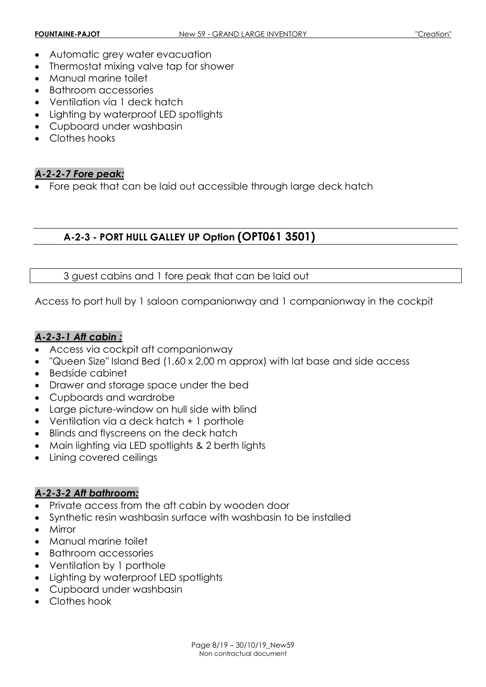- Automatic grey water evacuation
- Thermostat mixing valve tap for shower
- Manual marine toilet
- Bathroom accessories
- Ventilation via 1 deck hatch
- Lighting by waterproof LED spotlights
- Cupboard under washbasin
- Clothes hooks

## *A-2-2-7 Fore peak:*

Fore peak that can be laid out accessible through large deck hatch

## **A-2-3 - PORT HULL GALLEY UP Option (OPT061 3501)**

## 3 guest cabins and 1 fore peak that can be laid out

Access to port hull by 1 saloon companionway and 1 companionway in the cockpit

## *A-2-3-1 Aft cabin :*

- Access via cockpit aft companionway
- "Queen Size" Island Bed (1,60 x 2,00 m approx) with lat base and side access
- Bedside cabinet
- Drawer and storage space under the bed
- Cupboards and wardrobe
- Large picture-window on hull side with blind
- Ventilation via a deck hatch + 1 porthole
- Blinds and flyscreens on the deck hatch
- Main lighting via LED spotlights & 2 berth lights
- Lining covered ceilings

## *A-2-3-2 Aft bathroom:*

- Private access from the aft cabin by wooden door
- Synthetic resin washbasin surface with washbasin to be installed
- Mirror
- Manual marine toilet
- Bathroom accessories
- Ventilation by 1 porthole
- Lighting by waterproof LED spotlights
- Cupboard under washbasin
- Clothes hook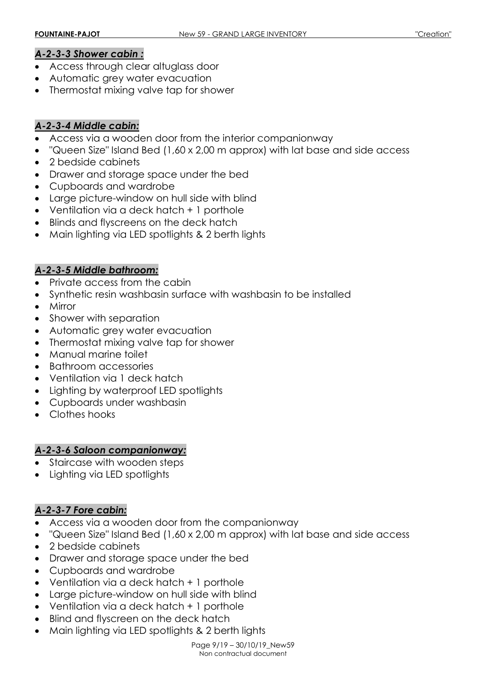#### *A-2-3-3 Shower cabin :*

- Access through clear altuglass door
- Automatic grey water evacuation
- Thermostat mixing valve tap for shower

### *A-2-3-4 Middle cabin:*

- Access via a wooden door from the interior companionway
- "Queen Size" Island Bed (1,60 x 2,00 m approx) with lat base and side access
- 2 bedside cabinets
- Drawer and storage space under the bed
- Cupboards and wardrobe
- Large picture-window on hull side with blind
- Ventilation via a deck hatch + 1 porthole
- Blinds and flyscreens on the deck hatch
- Main lighting via LED spotlights & 2 berth lights

### *A-2-3-5 Middle bathroom:*

- Private access from the cabin
- Synthetic resin washbasin surface with washbasin to be installed
- Mirror
- Shower with separation
- Automatic grey water evacuation
- Thermostat mixing valve tap for shower
- Manual marine toilet
- Bathroom accessories
- Ventilation via 1 deck hatch
- Lighting by waterproof LED spotlights
- Cupboards under washbasin
- Clothes hooks

## *A-2-3-6 Saloon companionway:*

- Staircase with wooden steps
- Lighting via LED spotlights

## *A-2-3-7 Fore cabin:*

- Access via a wooden door from the companionway
- "Queen Size" Island Bed (1,60 x 2,00 m approx) with lat base and side access
- 2 bedside cabinets
- Drawer and storage space under the bed
- Cupboards and wardrobe
- Ventilation via a deck hatch + 1 porthole
- Large picture-window on hull side with blind
- Ventilation via a deck hatch + 1 porthole
- Blind and flyscreen on the deck hatch
- Main lighting via LED spotlights & 2 berth lights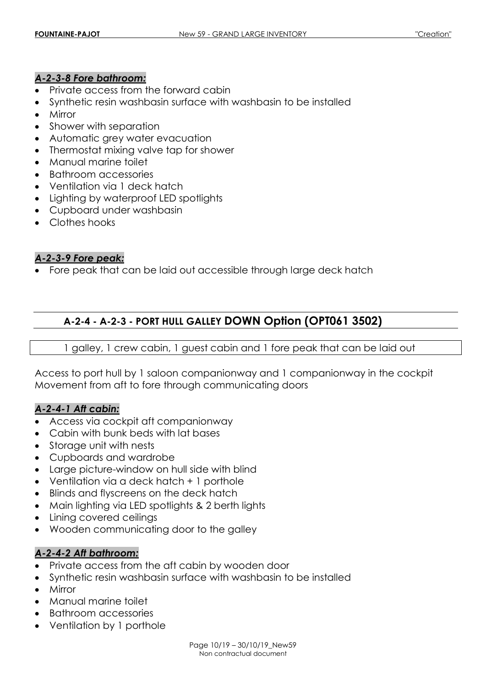### *A-2-3-8 Fore bathroom:*

- Private access from the forward cabin
- Synthetic resin washbasin surface with washbasin to be installed
- Mirror
- Shower with separation
- Automatic grey water evacuation
- Thermostat mixing valve tap for shower
- Manual marine toilet
- Bathroom accessories
- Ventilation via 1 deck hatch
- Lighting by waterproof LED spotlights
- Cupboard under washbasin
- Clothes hooks

### *A-2-3-9 Fore peak:*

Fore peak that can be laid out accessible through large deck hatch

## **A-2-4 - A-2-3 - PORT HULL GALLEY DOWN Option (OPT061 3502)**

1 galley, 1 crew cabin, 1 guest cabin and 1 fore peak that can be laid out

Access to port hull by 1 saloon companionway and 1 companionway in the cockpit Movement from aft to fore through communicating doors

#### *A-2-4-1 Aft cabin:*

- Access via cockpit aft companionway
- Cabin with bunk beds with lat bases
- Storage unit with nests
- Cupboards and wardrobe
- Large picture-window on hull side with blind
- Ventilation via a deck hatch + 1 porthole
- Blinds and flyscreens on the deck hatch
- Main lighting via LED spotlights & 2 berth lights
- Lining covered ceilings
- Wooden communicating door to the galley

## *A-2-4-2 Aft bathroom:*

- Private access from the aft cabin by wooden door
- Synthetic resin washbasin surface with washbasin to be installed
- Mirror
- Manual marine toilet
- Bathroom accessories
- Ventilation by 1 porthole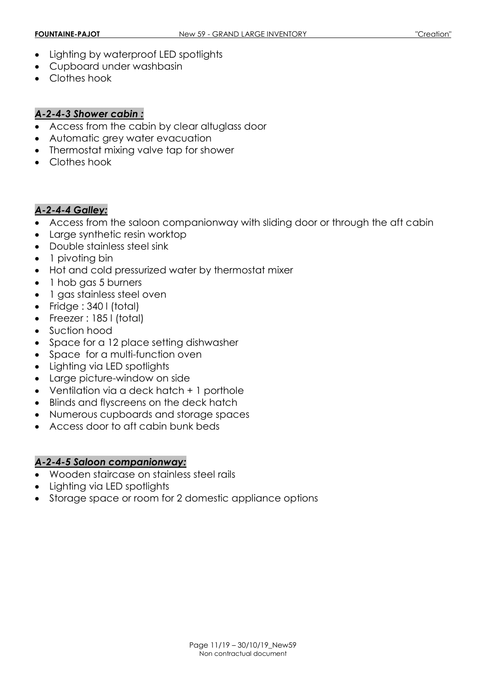- Lighting by waterproof LED spotlights
- Cupboard under washbasin
- Clothes hook

## *A-2-4-3 Shower cabin :*

- Access from the cabin by clear altuglass door
- Automatic grey water evacuation
- Thermostat mixing valve tap for shower
- Clothes hook

## *A-2-4-4 Galley:*

- Access from the saloon companionway with sliding door or through the aft cabin
- Large synthetic resin worktop
- Double stainless steel sink
- 1 pivoting bin
- Hot and cold pressurized water by thermostat mixer
- 1 hob gas 5 burners
- 1 gas stainless steel oven
- $\bullet$  Fridge : 340 l (total)
- Freezer : 185 l (total)
- Suction hood
- Space for a 12 place setting dishwasher
- Space for a multi-function oven
- Lighting via LED spotlights
- Large picture-window on side
- Ventilation via a deck hatch + 1 porthole
- Blinds and flyscreens on the deck hatch
- Numerous cupboards and storage spaces
- Access door to aft cabin bunk beds

## *A-2-4-5 Saloon companionway:*

- Wooden staircase on stainless steel rails
- Lighting via LED spotlights
- Storage space or room for 2 domestic appliance options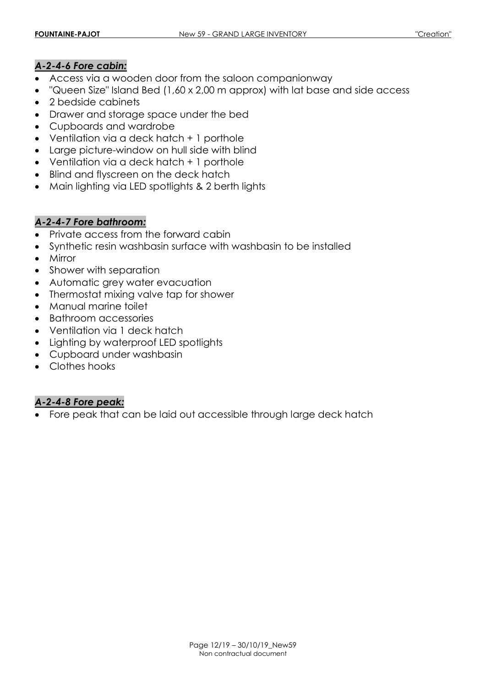## *A-2-4-6 Fore cabin:*

- Access via a wooden door from the saloon companionway
- "Queen Size" Island Bed (1,60 x 2,00 m approx) with lat base and side access
- 2 bedside cabinets
- Drawer and storage space under the bed
- Cupboards and wardrobe
- Ventilation via a deck hatch + 1 porthole
- Large picture-window on hull side with blind
- Ventilation via a deck hatch + 1 porthole
- Blind and flyscreen on the deck hatch
- Main lighting via LED spotlights & 2 berth lights

## *A-2-4-7 Fore bathroom:*

- Private access from the forward cabin
- Synthetic resin washbasin surface with washbasin to be installed
- Mirror
- Shower with separation
- Automatic grey water evacuation
- Thermostat mixing valve tap for shower
- Manual marine toilet
- Bathroom accessories
- Ventilation via 1 deck hatch
- Lighting by waterproof LED spotlights
- Cupboard under washbasin
- Clothes hooks

## *A-2-4-8 Fore peak:*

Fore peak that can be laid out accessible through large deck hatch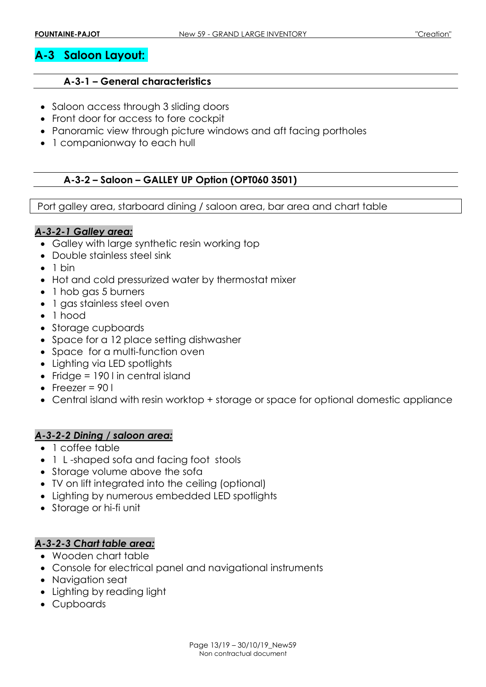## **A-3 Saloon Layout:**

#### **A-3-1 – General characteristics**

- Saloon access through 3 sliding doors
- Front door for access to fore cockpit
- Panoramic view through picture windows and aft facing portholes
- 1 companionway to each hull

## **A-3-2 – Saloon – GALLEY UP Option (OPT060 3501)**

Port galley area, starboard dining / saloon area, bar area and chart table

## *A-3-2-1 Galley area:*

- Galley with large synthetic resin working top
- Double stainless steel sink
- $\bullet$  1 bin
- Hot and cold pressurized water by thermostat mixer
- 1 hob gas 5 burners
- 1 gas stainless steel oven
- 1 hood
- Storage cupboards
- Space for a 12 place setting dishwasher
- Space for a multi-function oven
- Lighting via LED spotlights
- Fridge =  $190$  I in central island
- $\bullet$  Freezer = 90 l
- Central island with resin worktop + storage or space for optional domestic appliance

## *A-3-2-2 Dining / saloon area:*

- 1 coffee table
- 1 L-shaped sofa and facing foot stools
- Storage volume above the sofa
- TV on lift integrated into the ceiling (optional)
- Lighting by numerous embedded LED spotlights
- Storage or hi-fi unit

#### *A-3-2-3 Chart table area:*

- Wooden chart table
- Console for electrical panel and navigational instruments
- Navigation seat
- Lighting by reading light
- Cupboards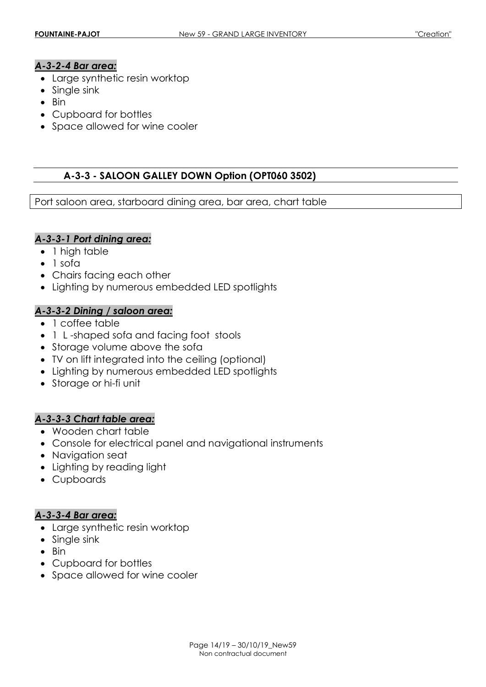### *A-3-2-4 Bar area:*

- Large synthetic resin worktop
- Single sink
- $-Bin$
- Cupboard for bottles
- Space allowed for wine cooler

#### **A-3-3 - SALOON GALLEY DOWN Option (OPT060 3502)**

Port saloon area, starboard dining area, bar area, chart table

#### *A-3-3-1 Port dining area:*

- 1 high table
- $\bullet$  1 sofa
- Chairs facing each other
- Lighting by numerous embedded LED spotlights

#### *A-3-3-2 Dining / saloon area:*

- 1 coffee table
- 1 L-shaped sofa and facing foot stools
- Storage volume above the sofa
- TV on lift integrated into the ceiling (optional)
- Lighting by numerous embedded LED spotlights
- Storage or hi-fi unit

#### *A-3-3-3 Chart table area:*

- Wooden chart table
- Console for electrical panel and navigational instruments
- Navigation seat
- Lighting by reading light
- Cupboards

#### *A-3-3-4 Bar area:*

- Large synthetic resin worktop
- Single sink
- $\bullet$  Bin
- Cupboard for bottles
- Space allowed for wine cooler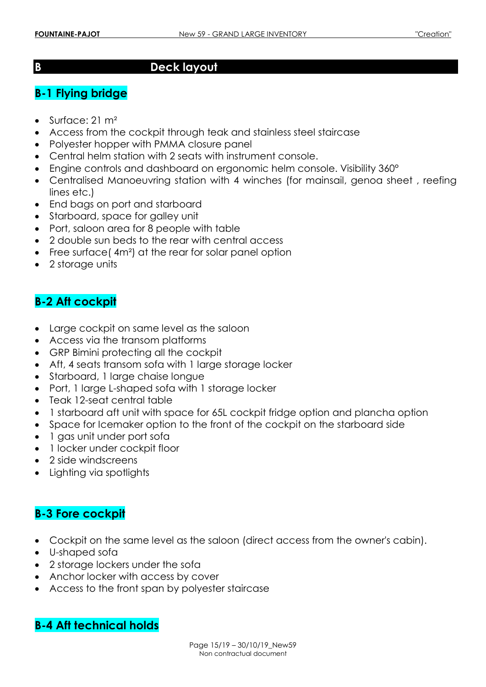## **B Deck layout**

## **B-1 Flying bridge**

- Surface: 21 m<sup>2</sup>
- Access from the cockpit through teak and stainless steel staircase
- Polyester hopper with PMMA closure panel
- Central helm station with 2 seats with instrument console.
- Engine controls and dashboard on ergonomic helm console. Visibility 360°
- Centralised Manoeuvring station with 4 winches (for mainsail, genoa sheet , reefing lines etc.)
- End bags on port and starboard
- Starboard, space for galley unit
- Port, saloon area for 8 people with table
- 2 double sun beds to the rear with central access
- Free surface(4m<sup>2</sup>) at the rear for solar panel option
- 2 storage units

## **B-2 Aft cockpit**

- Large cockpit on same level as the saloon
- Access via the transom platforms
- GRP Bimini protecting all the cockpit
- Aft, 4 seats transom sofa with 1 large storage locker
- Starboard, 1 large chaise longue
- Port, 1 large L-shaped sofa with 1 storage locker
- Teak 12-seat central table
- 1 starboard aft unit with space for 65L cockpit fridge option and plancha option
- Space for Icemaker option to the front of the cockpit on the starboard side
- 1 gas unit under port sofa
- 1 locker under cockpit floor
- 2 side windscreens
- Lighting via spotlights

## **B-3 Fore cockpit**

- Cockpit on the same level as the saloon (direct access from the owner's cabin).
- U-shaped sofa
- 2 storage lockers under the sofa
- Anchor locker with access by cover
- Access to the front span by polyester staircase

## **B-4 Aft technical holds**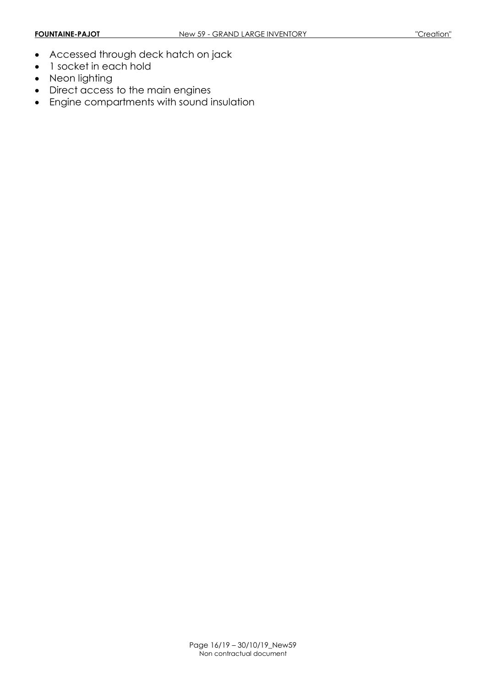- Accessed through deck hatch on jack
- 1 socket in each hold
- Neon lighting
- Direct access to the main engines
- Engine compartments with sound insulation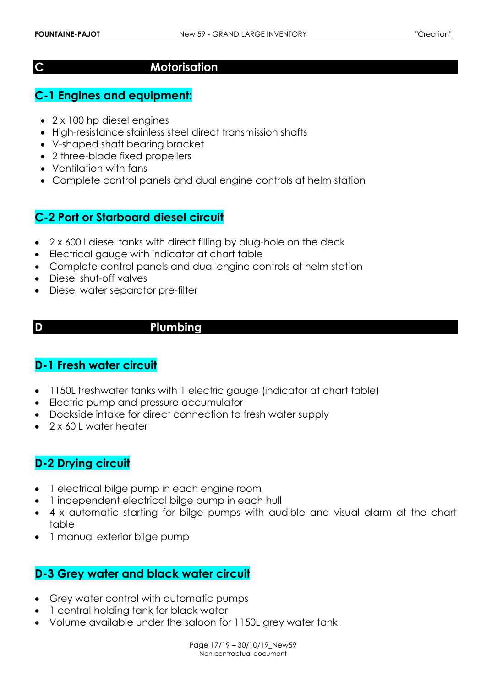## **C Motorisation**

## **C-1 Engines and equipment:**

- 2 x 100 hp diesel engines
- High-resistance stainless steel direct transmission shafts
- V-shaped shaft bearing bracket
- 2 three-blade fixed propellers
- Ventilation with fans
- Complete control panels and dual engine controls at helm station

## **C-2 Port or Starboard diesel circuit**

- 2 x 600 l diesel tanks with direct filling by plug-hole on the deck
- Electrical gauge with indicator at chart table
- Complete control panels and dual engine controls at helm station
- Diesel shut-off valves
- Diesel water separator pre-filter
- 

## **D Plumbing**

## **D-1 Fresh water circuit**

- 1150L freshwater tanks with 1 electric gauge (indicator at chart table)
- Electric pump and pressure accumulator
- Dockside intake for direct connection to fresh water supply
- $\bullet$  2 x 60 L water heater

## **D-2 Drying circuit**

- 1 electrical bilge pump in each engine room
- 1 independent electrical bilge pump in each hull
- 4 x automatic starting for bilge pumps with audible and visual alarm at the chart table
- 1 manual exterior bilge pump

## **D-3 Grey water and black water circuit**

- Grey water control with automatic pumps
- 1 central holding tank for black water
- Volume available under the saloon for 1150L grey water tank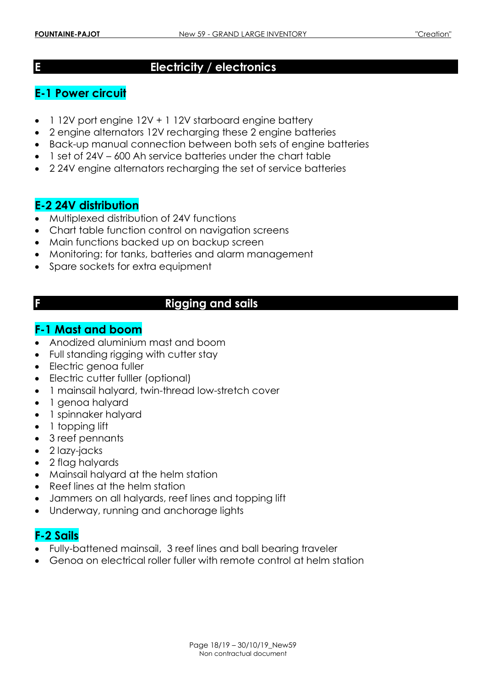## **E Electricity / electronics**

## **E-1 Power circuit**

- 1 12V port engine 12V + 1 12V starboard engine battery
- 2 engine alternators 12V recharging these 2 engine batteries
- Back-up manual connection between both sets of engine batteries
- 1 set of 24V 600 Ah service batteries under the chart table
- 2 24V engine alternators recharging the set of service batteries

## **E-2 24V distribution**

- Multiplexed distribution of 24V functions
- Chart table function control on navigation screens
- Main functions backed up on backup screen
- Monitoring: for tanks, batteries and alarm management
- Spare sockets for extra equipment

## **F Rigging and sails**

## **F-1 Mast and boom**

- Anodized aluminium mast and boom
- Full standing rigging with cutter stay
- Electric genoa fuller
- Electric cutter fulller (optional)
- 1 mainsail halyard, twin-thread low-stretch cover
- 1 genoa halyard
- 1 spinnaker halyard
- 1 topping lift
- 3 reef pennants
- 2 lazy-jacks
- 2 flag halyards
- Mainsail halyard at the helm station
- Reef lines at the helm station
- Jammers on all halyards, reef lines and topping lift
- Underway, running and anchorage lights

## **F-2 Sails**

- Fully-battened mainsail, 3 reef lines and ball bearing traveler
- Genoa on electrical roller fuller with remote control at helm station